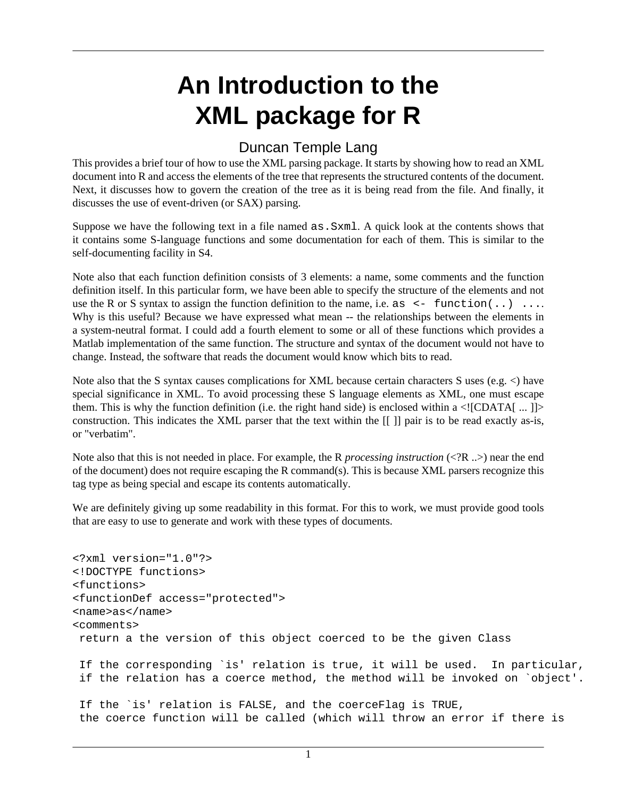# **An Introduction to the XML package for R**

### Duncan Temple Lang

This provides a brief tour of how to use the XML parsing package. It starts by showing how to read an XML document into R and access the elements of the tree that represents the structured contents of the document. Next, it discusses how to govern the creation of the tree as it is being read from the file. And finally, it discusses the use of event-driven (or SAX) parsing.

Suppose we have the following text in a file named as.Sxml. A quick look at the contents shows that it contains some S-language functions and some documentation for each of them. This is similar to the self-documenting facility in S4.

Note also that each function definition consists of 3 elements: a name, some comments and the function definition itself. In this particular form, we have been able to specify the structure of the elements and not use the R or S syntax to assign the function definition to the name, i.e. as  $\leq$  function(..) ... Why is this useful? Because we have expressed what mean -- the relationships between the elements in a system-neutral format. I could add a fourth element to some or all of these functions which provides a Matlab implementation of the same function. The structure and syntax of the document would not have to change. Instead, the software that reads the document would know which bits to read.

Note also that the S syntax causes complications for XML because certain characters S uses (e.g.  $\lt$ ) have special significance in XML. To avoid processing these S language elements as XML, one must escape them. This is why the function definition (i.e. the right hand side) is enclosed within a  $\langle$ ![CDATA[ ... ]]> construction. This indicates the XML parser that the text within the [[ ]] pair is to be read exactly as-is, or "verbatim".

Note also that this is not needed in place. For example, the R *processing instruction* (<?R ..>) near the end of the document) does not require escaping the R command(s). This is because XML parsers recognize this tag type as being special and escape its contents automatically.

We are definitely giving up some readability in this format. For this to work, we must provide good tools that are easy to use to generate and work with these types of documents.

```
<?xml version="1.0"?>
<!DOCTYPE functions>
<functions>
<functionDef access="protected">
<name>as</name>
<comments>
 return a the version of this object coerced to be the given Class
 If the corresponding `is' relation is true, it will be used. In particular,
  if the relation has a coerce method, the method will be invoked on `object'.
  If the `is' relation is FALSE, and the coerceFlag is TRUE,
  the coerce function will be called (which will throw an error if there is
```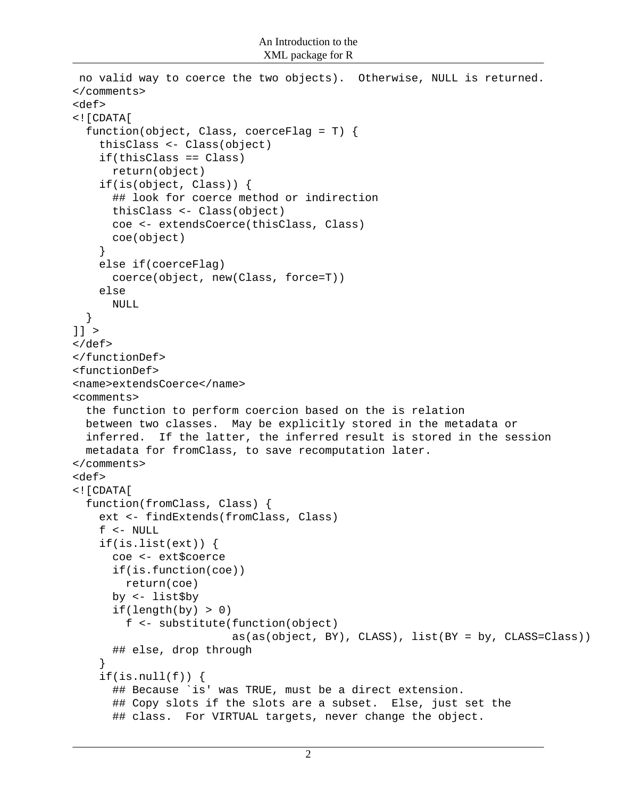```
 no valid way to coerce the two objects). Otherwise, NULL is returned.
</comments>
<def>
<![CDATA[
   function(object, Class, coerceFlag = T) {
     thisClass <- Class(object)
     if(thisClass == Class)
       return(object)
     if(is(object, Class)) {
       ## look for coerce method or indirection
       thisClass <- Class(object)
       coe <- extendsCoerce(thisClass, Class)
       coe(object)
     }
     else if(coerceFlag)
       coerce(object, new(Class, force=T))
     else
       NULL
   }
]] >
</def>
</functionDef>
<functionDef>
<name>extendsCoerce</name>
<comments>
   the function to perform coercion based on the is relation
  between two classes. May be explicitly stored in the metadata or
  inferred. If the latter, the inferred result is stored in the session
  metadata for fromClass, to save recomputation later.
</comments>
<def>
<![CDATA[
   function(fromClass, Class) {
     ext <- findExtends(fromClass, Class)
     f <- NULL
     if(is.list(ext)) {
       coe <- ext$coerce
       if(is.function(coe))
         return(coe)
       by <- list$by
      if(length(by) > 0) f <- substitute(function(object)
                          as(as(object, BY), CLASS), list(BY = by, CLASS=Class))
       ## else, drop through
     }
    if(is.null(f)) {
       ## Because `is' was TRUE, must be a direct extension.
       ## Copy slots if the slots are a subset. Else, just set the
       ## class. For VIRTUAL targets, never change the object.
```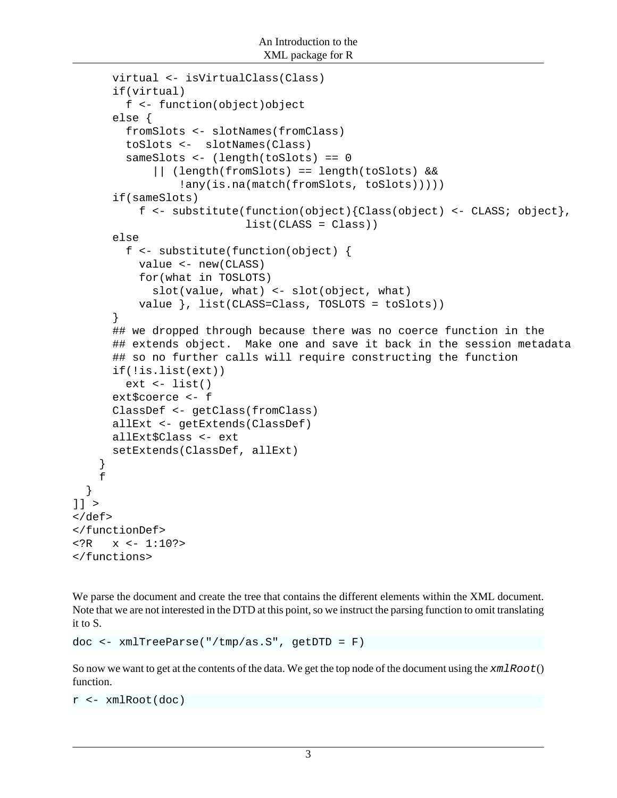```
 virtual <- isVirtualClass(Class)
       if(virtual)
         f <- function(object)object
       else {
         fromSlots <- slotNames(fromClass)
         toSlots <- slotNames(Class)
         sameSlots <- (length(toSlots) == 0
              || (length(fromSlots) == length(toSlots) &&
                  !any(is.na(match(fromSlots, toSlots)))))
       if(sameSlots)
           f <- substitute(function(object){Class(object) <- CLASS; object},
                             list(CLASS = Class))
       else
         f <- substitute(function(object) {
           value <- new(CLASS)
           for(what in TOSLOTS)
             slot(value, what) <- slot(object, what)
           value }, list(CLASS=Class, TOSLOTS = toSlots))
       }
       ## we dropped through because there was no coerce function in the
       ## extends object. Make one and save it back in the session metadata
       ## so no further calls will require constructing the function
       if(!is.list(ext))
        ext <- list()
       ext$coerce <- f
       ClassDef <- getClass(fromClass)
       allExt <- getExtends(ClassDef)
       allExt$Class <- ext
       setExtends(ClassDef, allExt)
     }
     f
]] >
</def>
</functionDef>
\texttt{<?R} \texttt{x} \texttt{<} - 1:10?>
</functions>
```
We parse the document and create the tree that contains the different elements within the XML document. Note that we are not interested in the DTD at this point, so we instruct the parsing function to omit translating it to S.

```
doc <- xmlTreeParse("/tmp/as.S", getDTD = F)
```
So now we want to get at the contents of the data. We get the top node of the document using the  $xm1Root()$ function.

```
r <- xmlRoot(doc)
```
}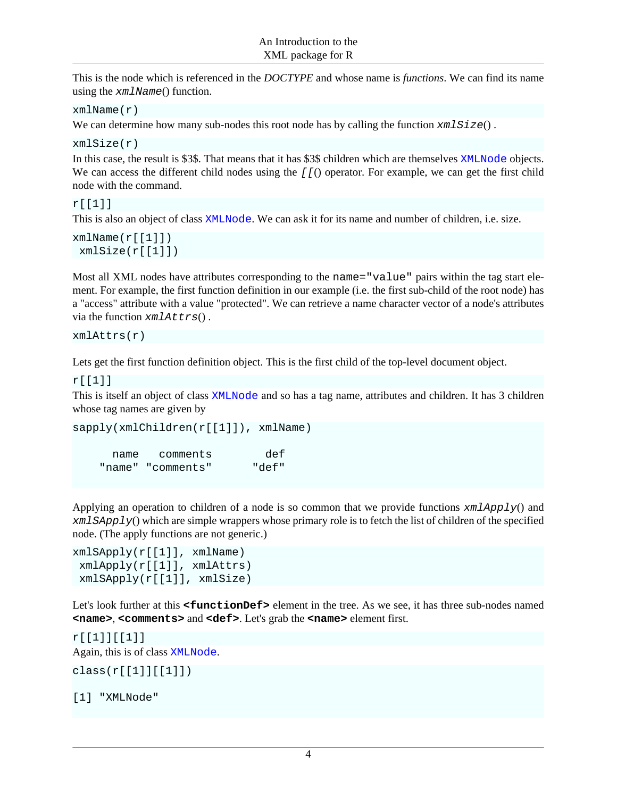This is the node which is referenced in the *DOCTYPE* and whose name is *functions*. We can find its name using the xmlName() function.

```
xmlName(r)
```
We can determine how many sub-nodes this root node has by calling the function  $xmlSize()$ .

xmlSize(r)

In this case, the result is \$3\$. That means that it has \$3\$ children which are themselves XMLNode objects. We can access the different child nodes using the  $[f($ ) operator. For example, we can get the first child node with the command.

#### r[[1]]

This is also an object of class XMLNode. We can ask it for its name and number of children, i.e. size.

```
xmlName(r[[1]]) xmlSize(r[[1]])
```
Most all XML nodes have attributes corresponding to the name="value" pairs within the tag start element. For example, the first function definition in our example (i.e. the first sub-child of the root node) has a "access" attribute with a value "protected". We can retrieve a name character vector of a node's attributes via the function  $x$ mlAttrs().

xmlAttrs(r)

Lets get the first function definition object. This is the first child of the top-level document object.

r[[1]]

This is itself an object of class XMLNode and so has a tag name, attributes and children. It has 3 children whose tag names are given by

```
sapply(xmlChildren(r[[1]]), xmlName)
      name comments def 
    "name" "comments" "def"
```
Applying an operation to children of a node is so common that we provide functions  $xmlApply()$  and xmlSApply() which are simple wrappers whose primary role is to fetch the list of children of the specified node. (The apply functions are not generic.)

```
xmlSApply(r[[1]], xmlName)
 xmlApply(r[[1]], xmlAttrs)
 xmlSApply(r[[1]], xmlSize)
```
Let's look further at this **<functionDef>** element in the tree. As we see, it has three sub-nodes named **<name>**, **<comments>** and **<def>**. Let's grab the **<name>** element first.

```
r[[1]][[1]]
Again, this is of class XMLNode.
class(r[[1]][[1]])
```
#### [1] "XMLNode"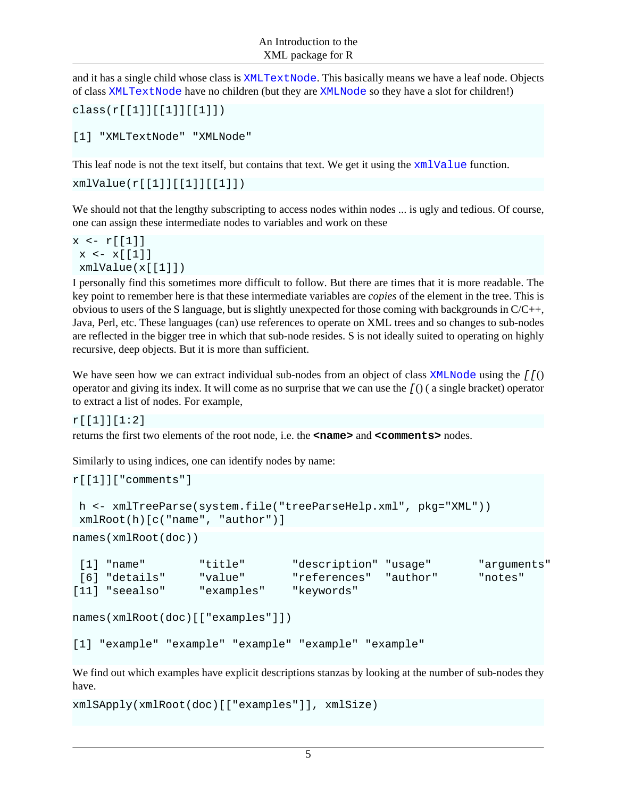and it has a single child whose class is XMLTextNode. This basically means we have a leaf node. Objects of class XMLTextNode have no children (but they are XMLNode so they have a slot for children!)

```
class(r[[1]][[1]][[1]])
```

```
[1] "XMLTextNode" "XMLNode"
```
This leaf node is not the text itself, but contains that text. We get it using the  $xm1Value$  function.

```
xmlValue(r[[1]][[1]][[1]])
```
We should not that the lengthy subscripting to access nodes within nodes ... is ugly and tedious. Of course, one can assign these intermediate nodes to variables and work on these

```
x \leftarrow r[[1]]x \leftarrow x[[1]] xmlValue(x[[1]])
```
I personally find this sometimes more difficult to follow. But there are times that it is more readable. The key point to remember here is that these intermediate variables are *copies* of the element in the tree. This is obvious to users of the S language, but is slightly unexpected for those coming with backgrounds in C/C++, Java, Perl, etc. These languages (can) use references to operate on XML trees and so changes to sub-nodes are reflected in the bigger tree in which that sub-node resides. S is not ideally suited to operating on highly recursive, deep objects. But it is more than sufficient.

We have seen how we can extract individual sub-nodes from an object of class  $XMLNode$  using the  $[f()$ operator and giving its index. It will come as no surprise that we can use the [() ( a single bracket) operator to extract a list of nodes. For example,

r[[1]][1:2]

returns the first two elements of the root node, i.e. the **<name>** and **<comments>** nodes.

Similarly to using indices, one can identify nodes by name:

```
r[[1]]["comments"]
 h <- xmlTreeParse(system.file("treeParseHelp.xml", pkg="XML"))
 xmlRoot(h)[c("name", "author")]
names(xmlRoot(doc))
[1] "name" "title" "description" "usage" "arguments"
 [6] "details" "value" "references" "author" "notes" 
[11] "seealso" "examples" "keywords" 
names(xmlRoot(doc)[["examples"]])
[1] "example" "example" "example" "example" "example"
```
We find out which examples have explicit descriptions stanzas by looking at the number of sub-nodes they have.

xmlSApply(xmlRoot(doc)[["examples"]], xmlSize)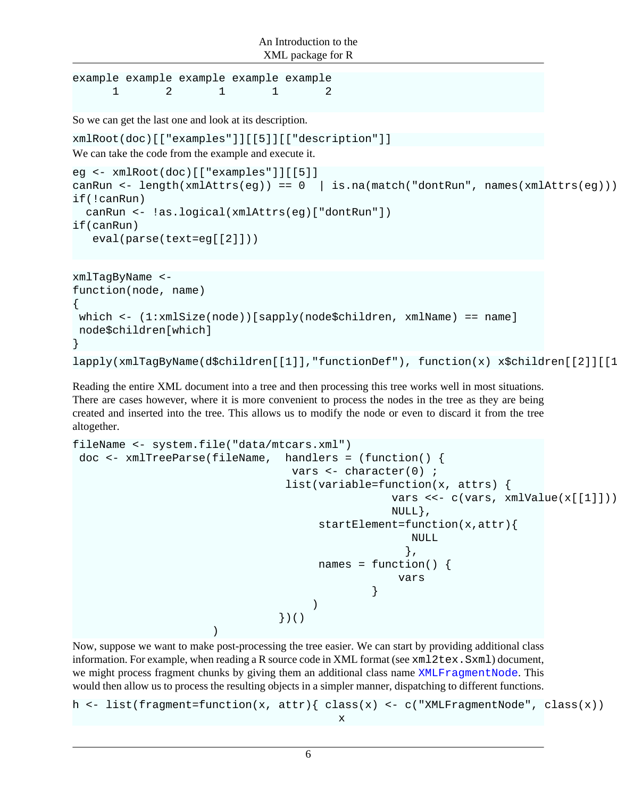```
example example example example example 
1 2 1 1 2
```
So we can get the last one and look at its description.

xmlRoot(doc)[["examples"]][[5]][["description"]]

We can take the code from the example and execute it.

```
eg <- xmlRoot(doc)[["examples"]][[5]]
canRun <- length(xmlAttrs(eg)) == 0 | is.na(match("dontRun", names(xmlAttrs(eg))))
if(!canRun)
   canRun <- !as.logical(xmlAttrs(eg)["dontRun"])
if(canRun)
    eval(parse(text=eg[[2]]))
```

```
xmlTagByName <-
function(node, name)
{
 which <- (1:xmlSize(node))[sapply(node$children, xmlName) == name]
 node$children[which] 
}
lapply(xmlTagByName(d$children[[1]],"functionDef"), function(x) x$children[[2]][[1]])
```
Reading the entire XML document into a tree and then processing this tree works well in most situations. There are cases however, where it is more convenient to process the nodes in the tree as they are being created and inserted into the tree. This allows us to modify the node or even to discard it from the tree altogether.

```
fileName <- system.file("data/mtcars.xml")
doc <- xmlTreeParse(fileName, handlers = (function() {
                              vars \leftarrow character(0) ;
                              list(variable=function(x, attrs) { 
                                            vars <<- c(vars, xmlValue(x[[1]]))
\texttt{NULL} \big\} ,
                                   startElement=function(x,attr){
 NULL
\} , and the contract of the contract of the contract of the contract of the contract of the contract of the contract of the contract of the contract of the contract of the contract of the contract of the contract of th
                                  names = function() {
 vars
 }
 )
                             })()
 )
```
Now, suppose we want to make post-processing the tree easier. We can start by providing additional class information. For example, when reading a R source code in XML format (see  $xml2text{x}$ . Sxml) document, we might process fragment chunks by giving them an additional class name XMLFragmentNode. This would then allow us to process the resulting objects in a simpler manner, dispatching to different functions.

```
h <- list(fragment=function(x, attr){    class(x) <- c("XMLFragmentNode", class(x))
x
```